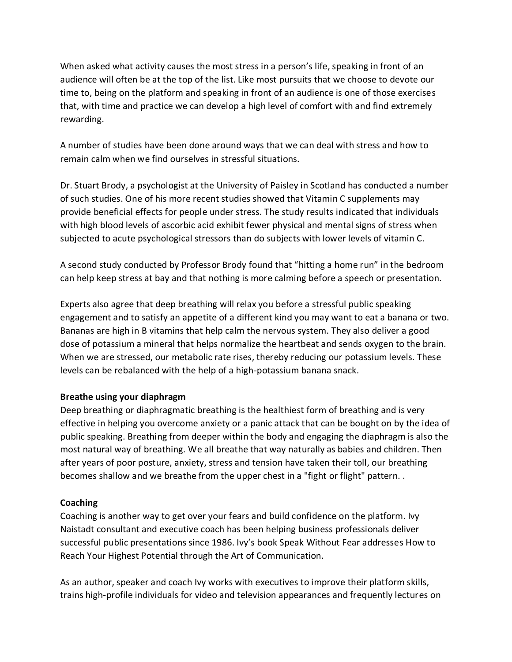When asked what activity causes the most stress in a person's life, speaking in front of an audience will often be at the top of the list. Like most pursuits that we choose to devote our time to, being on the platform and speaking in front of an audience is one of those exercises that, with time and practice we can develop a high level of comfort with and find extremely rewarding.

A number of studies have been done around ways that we can deal with stress and how to remain calm when we find ourselves in stressful situations.

Dr. Stuart Brody, a psychologist at the University of Paisley in Scotland has conducted a number of such studies. One of his more recent studies showed that Vitamin C supplements may provide beneficial effects for people under stress. The study results indicated that individuals with high blood levels of ascorbic acid exhibit fewer physical and mental signs of stress when subjected to acute psychological stressors than do subjects with lower levels of vitamin C.

A second study conducted by Professor Brody found that "hitting a home run" in the bedroom can help keep stress at bay and that nothing is more calming before a speech or presentation.

Experts also agree that deep breathing will relax you before a stressful public speaking engagement and to satisfy an appetite of a different kind you may want to eat a banana or two. Bananas are high in B vitamins that help calm the nervous system. They also deliver a good dose of potassium a mineral that helps normalize the heartbeat and sends oxygen to the brain. When we are stressed, our metabolic rate rises, thereby reducing our potassium levels. These levels can be rebalanced with the help of a high-potassium banana snack.

## **Breathe using your diaphragm**

Deep breathing or diaphragmatic breathing is the healthiest form of breathing and is very effective in helping you overcome anxiety or a panic attack that can be bought on by the idea of public speaking. Breathing from deeper within the body and engaging the diaphragm is also the most natural way of breathing. We all breathe that way naturally as babies and children. Then after years of poor posture, anxiety, stress and tension have taken their toll, our breathing becomes shallow and we breathe from the upper chest in a "fight or flight" pattern. .

## **Coaching**

Coaching is another way to get over your fears and build confidence on the platform. Ivy Naistadt consultant and executive coach has been helping business professionals deliver successful public presentations since 1986. Ivy's book Speak Without Fear addresses How to Reach Your Highest Potential through the Art of Communication.

As an author, speaker and coach Ivy works with executives to improve their platform skills, trains high-profile individuals for video and television appearances and frequently lectures on